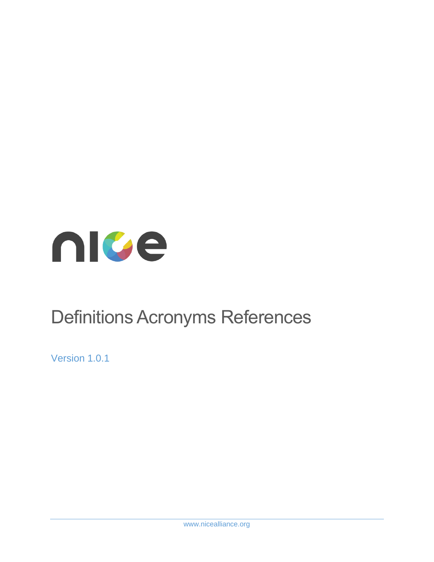

# Definitions Acronyms References

Version 1.0.1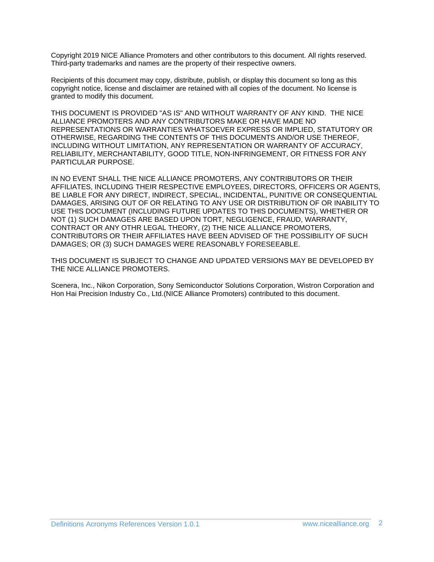Copyright 2019 NICE Alliance Promoters and other contributors to this document. All rights reserved. Third-party trademarks and names are the property of their respective owners.

Recipients of this document may copy, distribute, publish, or display this document so long as this copyright notice, license and disclaimer are retained with all copies of the document. No license is granted to modify this document.

THIS DOCUMENT IS PROVIDED "AS IS" AND WITHOUT WARRANTY OF ANY KIND. THE NICE ALLIANCE PROMOTERS AND ANY CONTRIBUTORS MAKE OR HAVE MADE NO REPRESENTATIONS OR WARRANTIES WHATSOEVER EXPRESS OR IMPLIED, STATUTORY OR OTHERWISE, REGARDING THE CONTENTS OF THIS DOCUMENTS AND/OR USE THEREOF, INCLUDING WITHOUT LIMITATION, ANY REPRESENTATION OR WARRANTY OF ACCURACY, RELIABILITY, MERCHANTABILITY, GOOD TITLE, NON-INFRINGEMENT, OR FITNESS FOR ANY PARTICULAR PURPOSE.

IN NO EVENT SHALL THE NICE ALLIANCE PROMOTERS, ANY CONTRIBUTORS OR THEIR AFFILIATES, INCLUDING THEIR RESPECTIVE EMPLOYEES, DIRECTORS, OFFICERS OR AGENTS, BE LIABLE FOR ANY DIRECT, INDIRECT, SPECIAL, INCIDENTAL, PUNITIVE OR CONSEQUENTIAL DAMAGES, ARISING OUT OF OR RELATING TO ANY USE OR DISTRIBUTION OF OR INABILITY TO USE THIS DOCUMENT (INCLUDING FUTURE UPDATES TO THIS DOCUMENTS), WHETHER OR NOT (1) SUCH DAMAGES ARE BASED UPON TORT, NEGLIGENCE, FRAUD, WARRANTY, CONTRACT OR ANY OTHR LEGAL THEORY, (2) THE NICE ALLIANCE PROMOTERS, CONTRIBUTORS OR THEIR AFFILIATES HAVE BEEN ADVISED OF THE POSSIBILITY OF SUCH DAMAGES; OR (3) SUCH DAMAGES WERE REASONABLY FORESEEABLE.

THIS DOCUMENT IS SUBJECT TO CHANGE AND UPDATED VERSIONS MAY BE DEVELOPED BY THE NICE ALLIANCE PROMOTERS.

Scenera, Inc., Nikon Corporation, Sony Semiconductor Solutions Corporation, Wistron Corporation and Hon Hai Precision Industry Co., Ltd.(NICE Alliance Promoters) contributed to this document.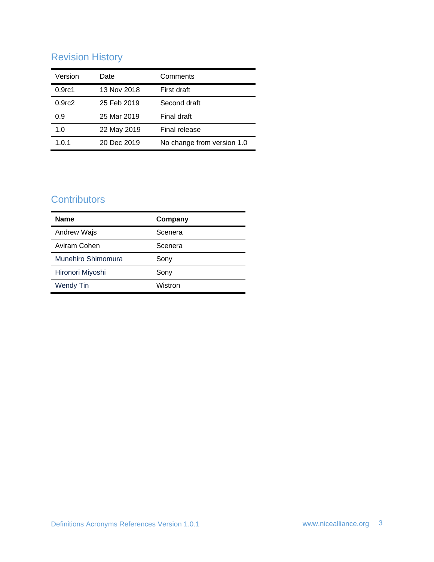# Revision History

| Version            | Date        | Comments                   |
|--------------------|-------------|----------------------------|
| 0.9 <sub>rc1</sub> | 13 Nov 2018 | First draft                |
| 0.9 <sub>rc2</sub> | 25 Feb 2019 | Second draft               |
| 0.9                | 25 Mar 2019 | Final draft                |
| 1.0                | 22 May 2019 | Final release              |
| 1.0.1              | 20 Dec 2019 | No change from version 1.0 |

## **Contributors**

| <b>Name</b>        | Company |
|--------------------|---------|
| Andrew Wajs        | Scenera |
| Aviram Cohen       | Scenera |
| Munehiro Shimomura | Sony    |
| Hironori Miyoshi   | Sony    |
| <b>Wendy Tin</b>   | Wistron |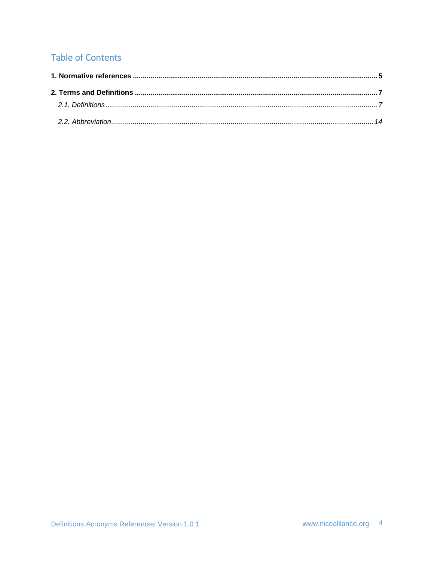# **Table of Contents**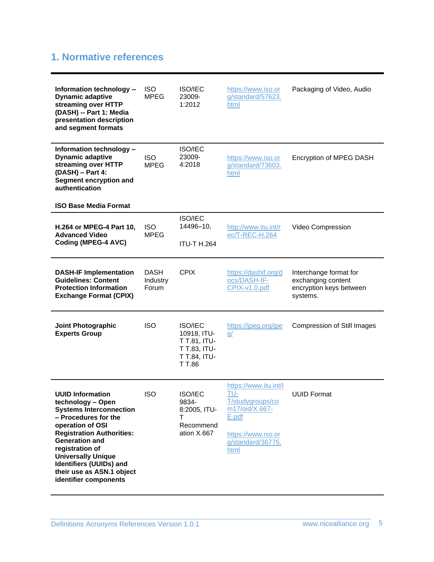## <span id="page-4-0"></span>**1. Normative references**

| Information technology --<br><b>Dynamic adaptive</b><br>streaming over HTTP<br>(DASH) -- Part 1: Media<br>presentation description<br>and segment formats                                                                                                                                                                       | <b>ISO</b><br><b>MPEG</b>        | <b>ISO/IEC</b><br>23009-<br>1:2012                                                      | https://www.iso.or<br>g/standard/57623.<br>html                                                                                | Packaging of Video, Audio                                                           |
|---------------------------------------------------------------------------------------------------------------------------------------------------------------------------------------------------------------------------------------------------------------------------------------------------------------------------------|----------------------------------|-----------------------------------------------------------------------------------------|--------------------------------------------------------------------------------------------------------------------------------|-------------------------------------------------------------------------------------|
| Information technology -<br><b>Dynamic adaptive</b><br>streaming over HTTP<br>(DASH) - Part 4:<br>Segment encryption and<br>authentication<br><b>ISO Base Media Format</b>                                                                                                                                                      | <b>ISO</b><br><b>MPEG</b>        | <b>ISO/IEC</b><br>23009-<br>4:2018                                                      | https://www.iso.or<br>g/standard/73603.<br>html                                                                                | Encryption of MPEG DASH                                                             |
| H.264 or MPEG-4 Part 10,<br><b>Advanced Video</b><br>Coding (MPEG-4 AVC)                                                                                                                                                                                                                                                        | <b>ISO</b><br><b>MPEG</b>        | <b>ISO/IEC</b><br>14496-10,<br><b>ITU-T H.264</b>                                       | http://www.itu.int/r<br>ec/T-REC-H.264                                                                                         | Video Compression                                                                   |
| <b>DASH-IF Implementation</b><br><b>Guidelines: Content</b><br><b>Protection Information</b><br><b>Exchange Format (CPIX)</b>                                                                                                                                                                                                   | <b>DASH</b><br>Industry<br>Forum | <b>CPIX</b>                                                                             | https://dashif.org/d<br>ocs/DASH-IF-<br>CPIX-v1.0.pdf                                                                          | Interchange format for<br>exchanging content<br>encryption keys between<br>systems. |
| Joint Photographic<br><b>Experts Group</b>                                                                                                                                                                                                                                                                                      | <b>ISO</b>                       | <b>ISO/IEC</b><br>10918, ITU-<br>T T.81, ITU-<br>T T.83, ITU-<br>T T.84, ITU-<br>T T.86 | https://jpeg.org/jpe<br>$\underline{q}$                                                                                        | <b>Compression of Still Images</b>                                                  |
| <b>UUID Information</b><br>technology - Open<br><b>Systems Interconnection</b><br>- Procedures for the<br>operation of OSI<br><b>Registration Authorities:</b><br><b>Generation and</b><br>registration of<br><b>Universally Unique</b><br><b>Identifiers (UUIDs) and</b><br>their use as ASN.1 object<br>identifier components | <b>ISO</b>                       | ISO/IEC<br>9834-<br>8:2005, ITU-<br>т<br>Recommend<br>ation X.667                       | https://www.itu.int/l<br>TU-<br>T/studygroups/co<br>m17/oid/X.667-<br>E.pdf<br>https://www.iso.or<br>g/standard/36775.<br>html | <b>UUID Format</b>                                                                  |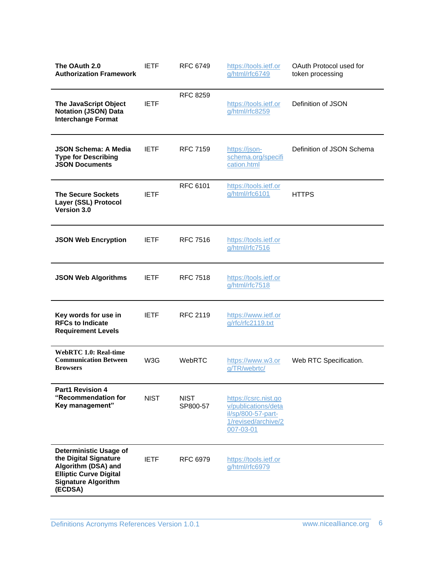| The OAuth 2.0<br><b>Authorization Framework</b>                                                                                                         | <b>IETF</b> | <b>RFC 6749</b>         | https://tools.ietf.or<br>g/html/rfc6749                                                               | OAuth Protocol used for<br>token processing |
|---------------------------------------------------------------------------------------------------------------------------------------------------------|-------------|-------------------------|-------------------------------------------------------------------------------------------------------|---------------------------------------------|
| The JavaScript Object<br><b>Notation (JSON) Data</b><br><b>Interchange Format</b>                                                                       | <b>IETF</b> | <b>RFC 8259</b>         | https://tools.ietf.or<br>g/html/rfc8259                                                               | Definition of JSON                          |
| <b>JSON Schema: A Media</b><br><b>Type for Describing</b><br><b>JSON Documents</b>                                                                      | <b>IETF</b> | <b>RFC 7159</b>         | https://json-<br>schema.org/specifi<br>cation.html                                                    | Definition of JSON Schema                   |
| <b>The Secure Sockets</b><br>Layer (SSL) Protocol<br>Version 3.0                                                                                        | <b>IETF</b> | <b>RFC 6101</b>         | https://tools.ietf.or<br>g/html/rfc6101                                                               | <b>HTTPS</b>                                |
| <b>JSON Web Encryption</b>                                                                                                                              | <b>IETF</b> | <b>RFC 7516</b>         | https://tools.ietf.or<br>g/html/rfc7516                                                               |                                             |
| <b>JSON Web Algorithms</b>                                                                                                                              | <b>IETF</b> | <b>RFC 7518</b>         | https://tools.ietf.or<br>g/html/rfc7518                                                               |                                             |
| Key words for use in<br><b>RFCs to Indicate</b><br><b>Requirement Levels</b>                                                                            | <b>IETF</b> | <b>RFC 2119</b>         | https://www.ietf.or<br>g/rfc/rfc2119.txt                                                              |                                             |
| <b>WebRTC 1.0: Real-time</b><br><b>Communication Between</b><br><b>Browsers</b>                                                                         | W3G         | WebRTC                  | https://www.w3.or<br>g/TR/webrtc/                                                                     | Web RTC Specification.                      |
| <b>Part1 Revision 4</b><br>"Recommendation for<br>Key management"                                                                                       | <b>NIST</b> | <b>NIST</b><br>SP800-57 | https://csrc.nist.go<br>v/publications/deta<br>il/sp/800-57-part-<br>1/revised/archive/2<br>007-03-01 |                                             |
| <b>Deterministic Usage of</b><br>the Digital Signature<br>Algorithm (DSA) and<br><b>Elliptic Curve Digital</b><br><b>Signature Algorithm</b><br>(ECDSA) | <b>IETF</b> | <b>RFC 6979</b>         | https://tools.ietf.or<br>g/html/rfc6979                                                               |                                             |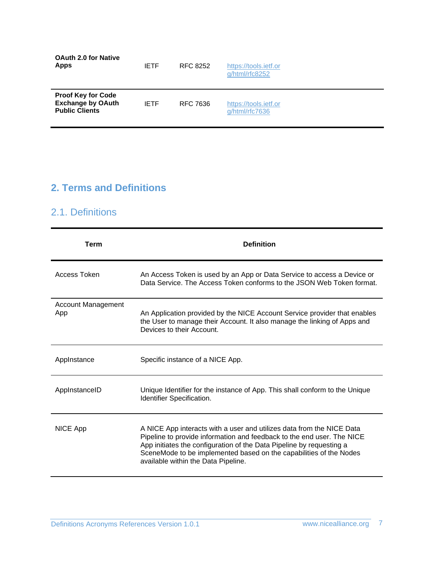| <b>OAuth 2.0 for Native</b><br><b>Apps</b>                                     | <b>IETF</b> | RFC 8252 | https://tools.ietf.or<br>$q$ /html/rfc8252 |
|--------------------------------------------------------------------------------|-------------|----------|--------------------------------------------|
| <b>Proof Key for Code</b><br><b>Exchange by OAuth</b><br><b>Public Clients</b> | <b>IFTF</b> | RFC 7636 | https://tools.ietf.or<br>g/html/rfc7636    |

# <span id="page-6-1"></span><span id="page-6-0"></span>**2. Terms and Definitions**

#### 2.1. Definitions

| <b>Term</b>                      | <b>Definition</b>                                                                                                                                                                                                                                                                                                                    |
|----------------------------------|--------------------------------------------------------------------------------------------------------------------------------------------------------------------------------------------------------------------------------------------------------------------------------------------------------------------------------------|
| Access Token                     | An Access Token is used by an App or Data Service to access a Device or<br>Data Service. The Access Token conforms to the JSON Web Token format.                                                                                                                                                                                     |
| <b>Account Management</b><br>App | An Application provided by the NICE Account Service provider that enables<br>the User to manage their Account. It also manage the linking of Apps and<br>Devices to their Account                                                                                                                                                    |
| AppInstance                      | Specific instance of a NICE App.                                                                                                                                                                                                                                                                                                     |
| AppInstanceID                    | Unique Identifier for the instance of App. This shall conform to the Unique<br>Identifier Specification.                                                                                                                                                                                                                             |
| NICE App                         | A NICE App interacts with a user and utilizes data from the NICE Data<br>Pipeline to provide information and feedback to the end user. The NICE<br>App initiates the configuration of the Data Pipeline by requesting a<br>SceneMode to be implemented based on the capabilities of the Nodes<br>available within the Data Pipeline. |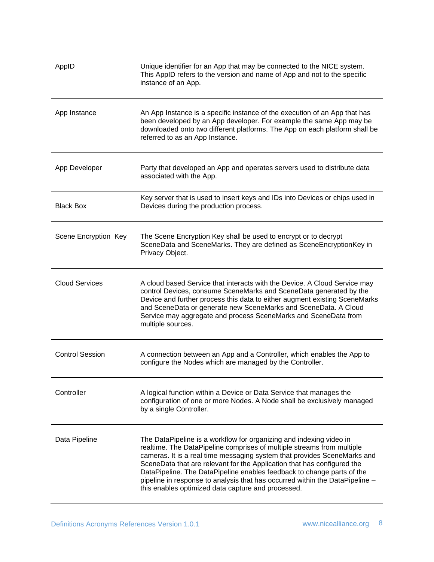| AppID                  | Unique identifier for an App that may be connected to the NICE system.<br>This AppID refers to the version and name of App and not to the specific<br>instance of an App.                                                                                                                                                                                                                                                                                                                                            |
|------------------------|----------------------------------------------------------------------------------------------------------------------------------------------------------------------------------------------------------------------------------------------------------------------------------------------------------------------------------------------------------------------------------------------------------------------------------------------------------------------------------------------------------------------|
| App Instance           | An App Instance is a specific instance of the execution of an App that has<br>been developed by an App developer. For example the same App may be<br>downloaded onto two different platforms. The App on each platform shall be<br>referred to as an App Instance.                                                                                                                                                                                                                                                   |
| App Developer          | Party that developed an App and operates servers used to distribute data<br>associated with the App.                                                                                                                                                                                                                                                                                                                                                                                                                 |
| <b>Black Box</b>       | Key server that is used to insert keys and IDs into Devices or chips used in<br>Devices during the production process.                                                                                                                                                                                                                                                                                                                                                                                               |
| Scene Encryption Key   | The Scene Encryption Key shall be used to encrypt or to decrypt<br>SceneData and SceneMarks. They are defined as SceneEncryptionKey in<br>Privacy Object.                                                                                                                                                                                                                                                                                                                                                            |
| <b>Cloud Services</b>  | A cloud based Service that interacts with the Device. A Cloud Service may<br>control Devices, consume SceneMarks and SceneData generated by the<br>Device and further process this data to either augment existing SceneMarks<br>and SceneData or generate new SceneMarks and SceneData. A Cloud<br>Service may aggregate and process SceneMarks and SceneData from<br>multiple sources.                                                                                                                             |
| <b>Control Session</b> | A connection between an App and a Controller, which enables the App to<br>configure the Nodes which are managed by the Controller.                                                                                                                                                                                                                                                                                                                                                                                   |
| Controller             | A logical function within a Device or Data Service that manages the<br>configuration of one or more Nodes. A Node shall be exclusively managed<br>by a single Controller.                                                                                                                                                                                                                                                                                                                                            |
| Data Pipeline          | The DataPipeline is a workflow for organizing and indexing video in<br>realtime. The DataPipeline comprises of multiple streams from multiple<br>cameras. It is a real time messaging system that provides SceneMarks and<br>SceneData that are relevant for the Application that has configured the<br>DataPipeline. The DataPipeline enables feedback to change parts of the<br>pipeline in response to analysis that has occurred within the DataPipeline -<br>this enables optimized data capture and processed. |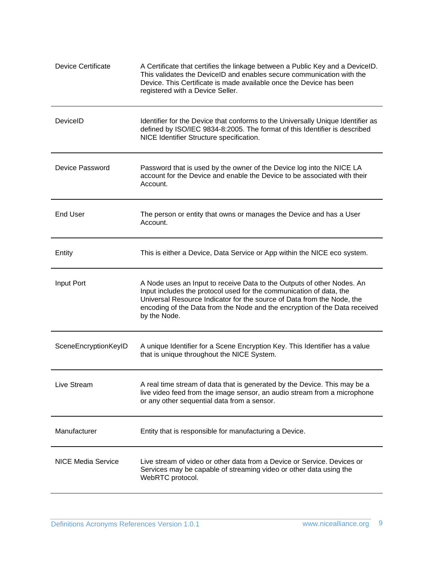| <b>Device Certificate</b> | A Certificate that certifies the linkage between a Public Key and a DeviceID.<br>This validates the DeviceID and enables secure communication with the<br>Device. This Certificate is made available once the Device has been<br>registered with a Device Seller.                                                     |
|---------------------------|-----------------------------------------------------------------------------------------------------------------------------------------------------------------------------------------------------------------------------------------------------------------------------------------------------------------------|
| DeviceID                  | Identifier for the Device that conforms to the Universally Unique Identifier as<br>defined by ISO/IEC 9834-8:2005. The format of this Identifier is described<br>NICE Identifier Structure specification.                                                                                                             |
| Device Password           | Password that is used by the owner of the Device log into the NICE LA<br>account for the Device and enable the Device to be associated with their<br>Account.                                                                                                                                                         |
| <b>End User</b>           | The person or entity that owns or manages the Device and has a User<br>Account.                                                                                                                                                                                                                                       |
| Entity                    | This is either a Device, Data Service or App within the NICE eco system.                                                                                                                                                                                                                                              |
| Input Port                | A Node uses an Input to receive Data to the Outputs of other Nodes. An<br>Input includes the protocol used for the communication of data, the<br>Universal Resource Indicator for the source of Data from the Node, the<br>encoding of the Data from the Node and the encryption of the Data received<br>by the Node. |
| SceneEncryptionKeyID      | A unique Identifier for a Scene Encryption Key. This Identifier has a value<br>that is unique throughout the NICE System.                                                                                                                                                                                             |
| Live Stream               | A real time stream of data that is generated by the Device. This may be a<br>live video feed from the image sensor, an audio stream from a microphone<br>or any other sequential data from a sensor.                                                                                                                  |
| Manufacturer              | Entity that is responsible for manufacturing a Device.                                                                                                                                                                                                                                                                |
| <b>NICE Media Service</b> | Live stream of video or other data from a Device or Service. Devices or<br>Services may be capable of streaming video or other data using the<br>WebRTC protocol.                                                                                                                                                     |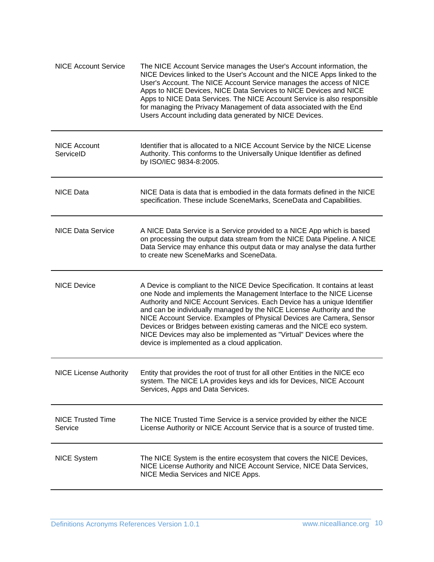| <b>NICE Account Service</b>         | The NICE Account Service manages the User's Account information, the<br>NICE Devices linked to the User's Account and the NICE Apps linked to the<br>User's Account. The NICE Account Service manages the access of NICE<br>Apps to NICE Devices, NICE Data Services to NICE Devices and NICE<br>Apps to NICE Data Services. The NICE Account Service is also responsible<br>for managing the Privacy Management of data associated with the End<br>Users Account including data generated by NICE Devices.                                                                        |
|-------------------------------------|------------------------------------------------------------------------------------------------------------------------------------------------------------------------------------------------------------------------------------------------------------------------------------------------------------------------------------------------------------------------------------------------------------------------------------------------------------------------------------------------------------------------------------------------------------------------------------|
| <b>NICE Account</b><br>ServiceID    | Identifier that is allocated to a NICE Account Service by the NICE License<br>Authority. This conforms to the Universally Unique Identifier as defined<br>by ISO/IEC 9834-8:2005.                                                                                                                                                                                                                                                                                                                                                                                                  |
| <b>NICE Data</b>                    | NICE Data is data that is embodied in the data formats defined in the NICE<br>specification. These include SceneMarks, SceneData and Capabilities.                                                                                                                                                                                                                                                                                                                                                                                                                                 |
| <b>NICE Data Service</b>            | A NICE Data Service is a Service provided to a NICE App which is based<br>on processing the output data stream from the NICE Data Pipeline. A NICE<br>Data Service may enhance this output data or may analyse the data further<br>to create new SceneMarks and SceneData.                                                                                                                                                                                                                                                                                                         |
| <b>NICE Device</b>                  | A Device is compliant to the NICE Device Specification. It contains at least<br>one Node and implements the Management Interface to the NICE License<br>Authority and NICE Account Services. Each Device has a unique Identifier<br>and can be individually managed by the NICE License Authority and the<br>NICE Account Service. Examples of Physical Devices are Camera, Sensor<br>Devices or Bridges between existing cameras and the NICE eco system.<br>NICE Devices may also be implemented as "Virtual" Devices where the<br>device is implemented as a cloud application. |
| <b>NICE License Authority</b>       | Entity that provides the root of trust for all other Entities in the NICE eco<br>system. The NICE LA provides keys and ids for Devices, NICE Account<br>Services, Apps and Data Services.                                                                                                                                                                                                                                                                                                                                                                                          |
| <b>NICE Trusted Time</b><br>Service | The NICE Trusted Time Service is a service provided by either the NICE<br>License Authority or NICE Account Service that is a source of trusted time.                                                                                                                                                                                                                                                                                                                                                                                                                              |
| <b>NICE System</b>                  | The NICE System is the entire ecosystem that covers the NICE Devices,<br>NICE License Authority and NICE Account Service, NICE Data Services,<br>NICE Media Services and NICE Apps.                                                                                                                                                                                                                                                                                                                                                                                                |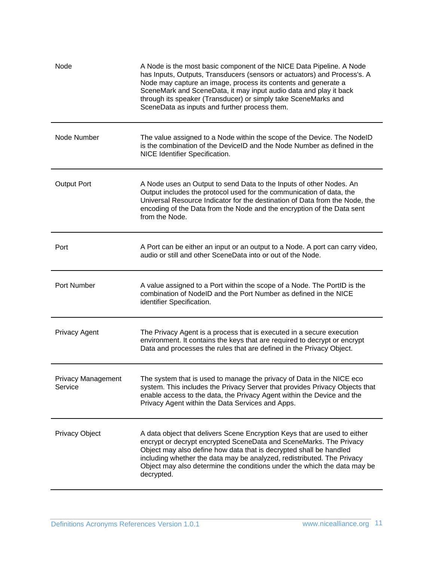| Node                                 | A Node is the most basic component of the NICE Data Pipeline. A Node<br>has Inputs, Outputs, Transducers (sensors or actuators) and Process's. A<br>Node may capture an image, process its contents and generate a<br>SceneMark and SceneData, it may input audio data and play it back<br>through its speaker (Transducer) or simply take SceneMarks and<br>SceneData as inputs and further process them. |
|--------------------------------------|------------------------------------------------------------------------------------------------------------------------------------------------------------------------------------------------------------------------------------------------------------------------------------------------------------------------------------------------------------------------------------------------------------|
| Node Number                          | The value assigned to a Node within the scope of the Device. The NodelD<br>is the combination of the DeviceID and the Node Number as defined in the<br>NICE Identifier Specification.                                                                                                                                                                                                                      |
| <b>Output Port</b>                   | A Node uses an Output to send Data to the Inputs of other Nodes. An<br>Output includes the protocol used for the communication of data, the<br>Universal Resource Indicator for the destination of Data from the Node, the<br>encoding of the Data from the Node and the encryption of the Data sent<br>from the Node.                                                                                     |
| Port                                 | A Port can be either an input or an output to a Node. A port can carry video,<br>audio or still and other SceneData into or out of the Node.                                                                                                                                                                                                                                                               |
| Port Number                          | A value assigned to a Port within the scope of a Node. The PortID is the<br>combination of NodelD and the Port Number as defined in the NICE<br>identifier Specification.                                                                                                                                                                                                                                  |
| <b>Privacy Agent</b>                 | The Privacy Agent is a process that is executed in a secure execution<br>environment. It contains the keys that are required to decrypt or encrypt<br>Data and processes the rules that are defined in the Privacy Object.                                                                                                                                                                                 |
| <b>Privacy Management</b><br>Service | The system that is used to manage the privacy of Data in the NICE eco<br>system. This includes the Privacy Server that provides Privacy Objects that<br>enable access to the data, the Privacy Agent within the Device and the<br>Privacy Agent within the Data Services and Apps.                                                                                                                         |
| <b>Privacy Object</b>                | A data object that delivers Scene Encryption Keys that are used to either<br>encrypt or decrypt encrypted SceneData and SceneMarks. The Privacy<br>Object may also define how data that is decrypted shall be handled<br>including whether the data may be analyzed, redistributed. The Privacy<br>Object may also determine the conditions under the which the data may be<br>decrypted.                  |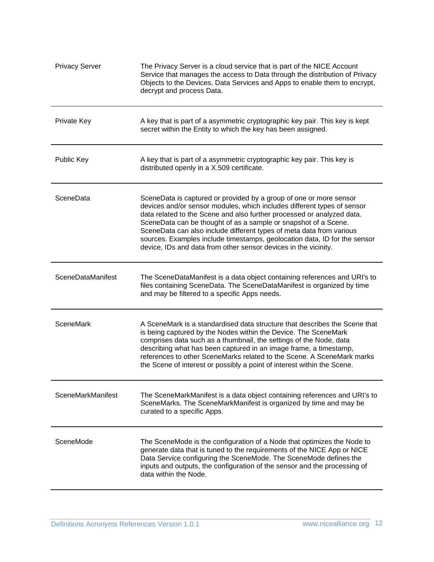| <b>Privacy Server</b> | The Privacy Server is a cloud service that is part of the NICE Account<br>Service that manages the access to Data through the distribution of Privacy<br>Objects to the Devices, Data Services and Apps to enable them to encrypt,<br>decrypt and process Data.                                                                                                                                                                                                                                                    |
|-----------------------|--------------------------------------------------------------------------------------------------------------------------------------------------------------------------------------------------------------------------------------------------------------------------------------------------------------------------------------------------------------------------------------------------------------------------------------------------------------------------------------------------------------------|
| Private Key           | A key that is part of a asymmetric cryptographic key pair. This key is kept<br>secret within the Entity to which the key has been assigned.                                                                                                                                                                                                                                                                                                                                                                        |
| Public Key            | A key that is part of a asymmetric cryptographic key pair. This key is<br>distributed openly in a X.509 certificate.                                                                                                                                                                                                                                                                                                                                                                                               |
| SceneData             | SceneData is captured or provided by a group of one or more sensor<br>devices and/or sensor modules, which includes different types of sensor<br>data related to the Scene and also further processed or analyzed data.<br>SceneData can be thought of as a sample or snapshot of a Scene.<br>SceneData can also include different types of meta data from various<br>sources. Examples include timestamps, geolocation data, ID for the sensor<br>device, IDs and data from other sensor devices in the vicinity. |
| SceneDataManifest     | The SceneDataManifest is a data object containing references and URI's to<br>files containing SceneData. The SceneDataManifest is organized by time<br>and may be filtered to a specific Apps needs.                                                                                                                                                                                                                                                                                                               |
| <b>SceneMark</b>      | A SceneMark is a standardised data structure that describes the Scene that<br>is being captured by the Nodes within the Device. The SceneMark<br>comprises data such as a thumbnail, the settings of the Node, data<br>describing what has been captured in an image frame, a timestamp,<br>references to other SceneMarks related to the Scene. A SceneMark marks<br>the Scene of interest or possibly a point of interest within the Scene.                                                                      |
| SceneMarkManifest     | The SceneMarkManifest is a data object containing references and URI's to<br>SceneMarks. The SceneMarkManifest is organized by time and may be<br>curated to a specific Apps.                                                                                                                                                                                                                                                                                                                                      |
| SceneMode             | The SceneMode is the configuration of a Node that optimizes the Node to<br>generate data that is tuned to the requirements of the NICE App or NICE<br>Data Service configuring the SceneMode. The SceneMode defines the<br>inputs and outputs, the configuration of the sensor and the processing of<br>data within the Node.                                                                                                                                                                                      |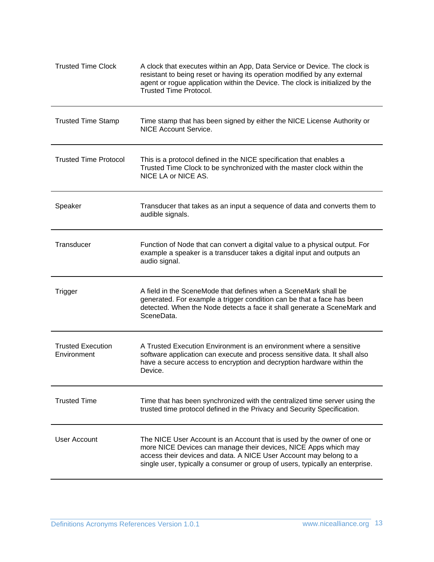| <b>Trusted Time Clock</b>               | A clock that executes within an App, Data Service or Device. The clock is<br>resistant to being reset or having its operation modified by any external<br>agent or rogue application within the Device. The clock is initialized by the<br><b>Trusted Time Protocol.</b>                          |
|-----------------------------------------|---------------------------------------------------------------------------------------------------------------------------------------------------------------------------------------------------------------------------------------------------------------------------------------------------|
| <b>Trusted Time Stamp</b>               | Time stamp that has been signed by either the NICE License Authority or<br><b>NICE Account Service.</b>                                                                                                                                                                                           |
| <b>Trusted Time Protocol</b>            | This is a protocol defined in the NICE specification that enables a<br>Trusted Time Clock to be synchronized with the master clock within the<br>NICE LA or NICE AS.                                                                                                                              |
| Speaker                                 | Transducer that takes as an input a sequence of data and converts them to<br>audible signals.                                                                                                                                                                                                     |
| Transducer                              | Function of Node that can convert a digital value to a physical output. For<br>example a speaker is a transducer takes a digital input and outputs an<br>audio signal.                                                                                                                            |
| Trigger                                 | A field in the SceneMode that defines when a SceneMark shall be<br>generated. For example a trigger condition can be that a face has been<br>detected. When the Node detects a face it shall generate a SceneMark and<br>SceneData.                                                               |
| <b>Trusted Execution</b><br>Environment | A Trusted Execution Environment is an environment where a sensitive<br>software application can execute and process sensitive data. It shall also<br>have a secure access to encryption and decryption hardware within the<br>Device.                                                             |
| <b>Trusted Time</b>                     | Time that has been synchronized with the centralized time server using the<br>trusted time protocol defined in the Privacy and Security Specification.                                                                                                                                            |
| <b>User Account</b>                     | The NICE User Account is an Account that is used by the owner of one or<br>more NICE Devices can manage their devices, NICE Apps which may<br>access their devices and data. A NICE User Account may belong to a<br>single user, typically a consumer or group of users, typically an enterprise. |